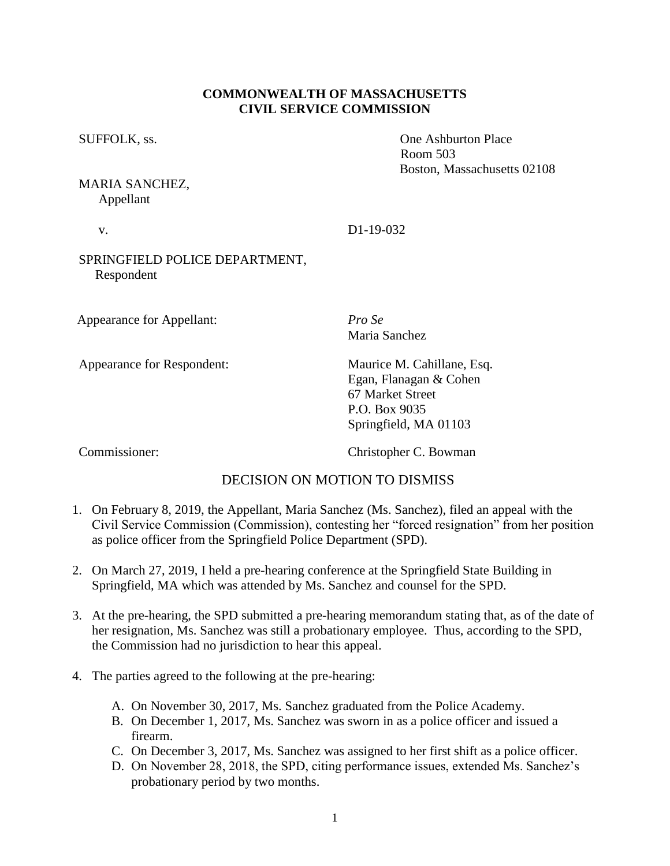### **COMMONWEALTH OF MASSACHUSETTS CIVIL SERVICE COMMISSION**

SUFFOLK, ss.  $\qquad \qquad$  One Ashburton Place

MARIA SANCHEZ, Appellant

## v. D1-19-032

## SPRINGFIELD POLICE DEPARTMENT, Respondent

Appearance for Appellant: *Pro Se*

Appearance for Respondent: Maurice M. Cahillane, Esq.

Maria Sanchez

Egan, Flanagan & Cohen 67 Market Street P.O. Box 9035 Springfield, MA 01103

Room 503

Boston, Massachusetts 02108

Commissioner: Christopher C. Bowman

# DECISION ON MOTION TO DISMISS

- 1. On February 8, 2019, the Appellant, Maria Sanchez (Ms. Sanchez), filed an appeal with the Civil Service Commission (Commission), contesting her "forced resignation" from her position as police officer from the Springfield Police Department (SPD).
- 2. On March 27, 2019, I held a pre-hearing conference at the Springfield State Building in Springfield, MA which was attended by Ms. Sanchez and counsel for the SPD.
- 3. At the pre-hearing, the SPD submitted a pre-hearing memorandum stating that, as of the date of her resignation, Ms. Sanchez was still a probationary employee. Thus, according to the SPD, the Commission had no jurisdiction to hear this appeal.
- 4. The parties agreed to the following at the pre-hearing:
	- A. On November 30, 2017, Ms. Sanchez graduated from the Police Academy.
	- B. On December 1, 2017, Ms. Sanchez was sworn in as a police officer and issued a firearm.
	- C. On December 3, 2017, Ms. Sanchez was assigned to her first shift as a police officer.
	- D. On November 28, 2018, the SPD, citing performance issues, extended Ms. Sanchez's probationary period by two months.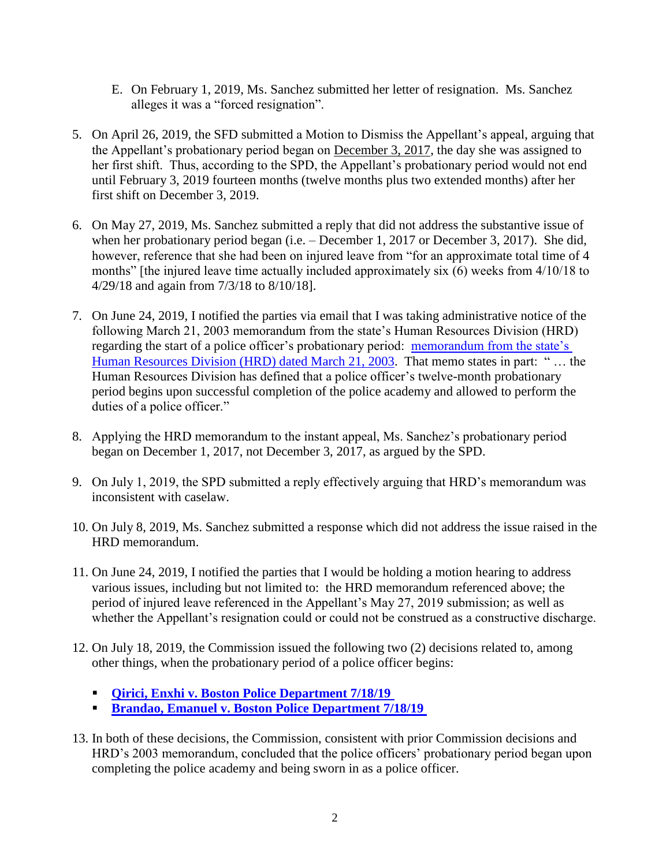- E. On February 1, 2019, Ms. Sanchez submitted her letter of resignation. Ms. Sanchez alleges it was a "forced resignation".
- 5. On April 26, 2019, the SFD submitted a Motion to Dismiss the Appellant's appeal, arguing that the Appellant's probationary period began on December 3, 2017, the day she was assigned to her first shift. Thus, according to the SPD, the Appellant's probationary period would not end until February 3, 2019 fourteen months (twelve months plus two extended months) after her first shift on December 3, 2019.
- 6. On May 27, 2019, Ms. Sanchez submitted a reply that did not address the substantive issue of when her probationary period began (i.e. – December 1, 2017 or December 3, 2017). She did, however, reference that she had been on injured leave from "for an approximate total time of 4 months" [the injured leave time actually included approximately six (6) weeks from 4/10/18 to 4/29/18 and again from 7/3/18 to 8/10/18].
- 7. On June 24, 2019, I notified the parties via email that I was taking administrative notice of the following March 21, 2003 memorandum from the state's Human Resources Division (HRD) regarding the start of a police officer's probationary period: [memorandum from the state's](https://www.mass.gov/files/documents/2016/07/nz/impact-student-officer-bill.doc?_ga=2.219175705.1233781130.1560798285-542557170.1552248761)  [Human Resources Division \(HRD\) dated March 21, 2003.](https://www.mass.gov/files/documents/2016/07/nz/impact-student-officer-bill.doc?_ga=2.219175705.1233781130.1560798285-542557170.1552248761) That memo states in part: " … the Human Resources Division has defined that a police officer's twelve-month probationary period begins upon successful completion of the police academy and allowed to perform the duties of a police officer."
- 8. Applying the HRD memorandum to the instant appeal, Ms. Sanchez's probationary period began on December 1, 2017, not December 3, 2017, as argued by the SPD.
- 9. On July 1, 2019, the SPD submitted a reply effectively arguing that HRD's memorandum was inconsistent with caselaw.
- 10. On July 8, 2019, Ms. Sanchez submitted a response which did not address the issue raised in the HRD memorandum.
- 11. On June 24, 2019, I notified the parties that I would be holding a motion hearing to address various issues, including but not limited to: the HRD memorandum referenced above; the period of injured leave referenced in the Appellant's May 27, 2019 submission; as well as whether the Appellant's resignation could or could not be construed as a constructive discharge.
- 12. On July 18, 2019, the Commission issued the following two (2) decisions related to, among other things, when the probationary period of a police officer begins:
	- **[Qirici, Enxhi v. Boston Police Department 7/18/19](https://www.mass.gov/doc/qirici-enxhi-v-boston-police-department-71819/download)**
	- **[Brandao, Emanuel v. Boston Police Department 7/18/19](https://www.mass.gov/doc/brandao-emanuel-v-boston-police-department-71819/download)**
- 13. In both of these decisions, the Commission, consistent with prior Commission decisions and HRD's 2003 memorandum, concluded that the police officers' probationary period began upon completing the police academy and being sworn in as a police officer.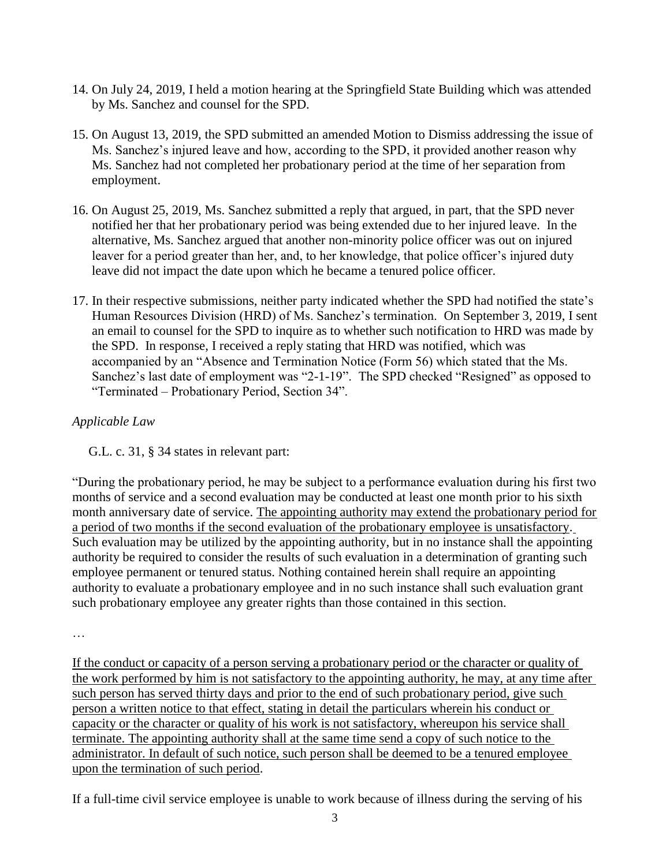- 14. On July 24, 2019, I held a motion hearing at the Springfield State Building which was attended by Ms. Sanchez and counsel for the SPD.
- 15. On August 13, 2019, the SPD submitted an amended Motion to Dismiss addressing the issue of Ms. Sanchez's injured leave and how, according to the SPD, it provided another reason why Ms. Sanchez had not completed her probationary period at the time of her separation from employment.
- 16. On August 25, 2019, Ms. Sanchez submitted a reply that argued, in part, that the SPD never notified her that her probationary period was being extended due to her injured leave. In the alternative, Ms. Sanchez argued that another non-minority police officer was out on injured leaver for a period greater than her, and, to her knowledge, that police officer's injured duty leave did not impact the date upon which he became a tenured police officer.
- 17. In their respective submissions, neither party indicated whether the SPD had notified the state's Human Resources Division (HRD) of Ms. Sanchez's termination. On September 3, 2019, I sent an email to counsel for the SPD to inquire as to whether such notification to HRD was made by the SPD. In response, I received a reply stating that HRD was notified, which was accompanied by an "Absence and Termination Notice (Form 56) which stated that the Ms. Sanchez's last date of employment was "2-1-19". The SPD checked "Resigned" as opposed to "Terminated – Probationary Period, Section 34".

# *Applicable Law*

G.L. c. 31, § 34 states in relevant part:

"During the probationary period, he may be subject to a performance evaluation during his first two months of service and a second evaluation may be conducted at least one month prior to his sixth month anniversary date of service. The appointing authority may extend the probationary period for a period of two months if the second evaluation of the probationary employee is unsatisfactory. Such evaluation may be utilized by the appointing authority, but in no instance shall the appointing authority be required to consider the results of such evaluation in a determination of granting such employee permanent or tenured status. Nothing contained herein shall require an appointing authority to evaluate a probationary employee and in no such instance shall such evaluation grant such probationary employee any greater rights than those contained in this section.

…

If the conduct or capacity of a person serving a probationary period or the character or quality of the work performed by him is not satisfactory to the appointing authority, he may, at any time after such person has served thirty days and prior to the end of such probationary period, give such person a written notice to that effect, stating in detail the particulars wherein his conduct or capacity or the character or quality of his work is not satisfactory, whereupon his service shall terminate. The appointing authority shall at the same time send a copy of such notice to the administrator. In default of such notice, such person shall be deemed to be a tenured employee upon the termination of such period.

If a full-time civil service employee is unable to work because of illness during the serving of his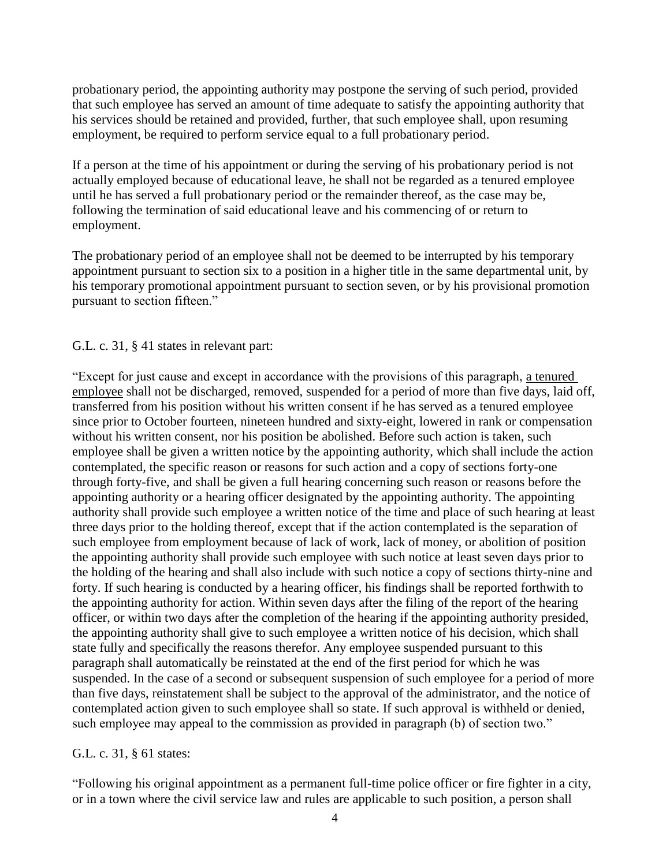probationary period, the appointing authority may postpone the serving of such period, provided that such employee has served an amount of time adequate to satisfy the appointing authority that his services should be retained and provided, further, that such employee shall, upon resuming employment, be required to perform service equal to a full probationary period.

If a person at the time of his appointment or during the serving of his probationary period is not actually employed because of educational leave, he shall not be regarded as a tenured employee until he has served a full probationary period or the remainder thereof, as the case may be, following the termination of said educational leave and his commencing of or return to employment.

The probationary period of an employee shall not be deemed to be interrupted by his temporary appointment pursuant to section six to a position in a higher title in the same departmental unit, by his temporary promotional appointment pursuant to section seven, or by his provisional promotion pursuant to section fifteen."

G.L. c. 31, § 41 states in relevant part:

"Except for just cause and except in accordance with the provisions of this paragraph, a tenured employee shall not be discharged, removed, suspended for a period of more than five days, laid off, transferred from his position without his written consent if he has served as a tenured employee since prior to October fourteen, nineteen hundred and sixty-eight, lowered in rank or compensation without his written consent, nor his position be abolished. Before such action is taken, such employee shall be given a written notice by the appointing authority, which shall include the action contemplated, the specific reason or reasons for such action and a copy of sections forty-one through forty-five, and shall be given a full hearing concerning such reason or reasons before the appointing authority or a hearing officer designated by the appointing authority. The appointing authority shall provide such employee a written notice of the time and place of such hearing at least three days prior to the holding thereof, except that if the action contemplated is the separation of such employee from employment because of lack of work, lack of money, or abolition of position the appointing authority shall provide such employee with such notice at least seven days prior to the holding of the hearing and shall also include with such notice a copy of sections thirty-nine and forty. If such hearing is conducted by a hearing officer, his findings shall be reported forthwith to the appointing authority for action. Within seven days after the filing of the report of the hearing officer, or within two days after the completion of the hearing if the appointing authority presided, the appointing authority shall give to such employee a written notice of his decision, which shall state fully and specifically the reasons therefor. Any employee suspended pursuant to this paragraph shall automatically be reinstated at the end of the first period for which he was suspended. In the case of a second or subsequent suspension of such employee for a period of more than five days, reinstatement shall be subject to the approval of the administrator, and the notice of contemplated action given to such employee shall so state. If such approval is withheld or denied, such employee may appeal to the commission as provided in paragraph (b) of section two."

G.L. c. 31, § 61 states:

"Following his original appointment as a permanent full-time police officer or fire fighter in a city, or in a town where the civil service law and rules are applicable to such position, a person shall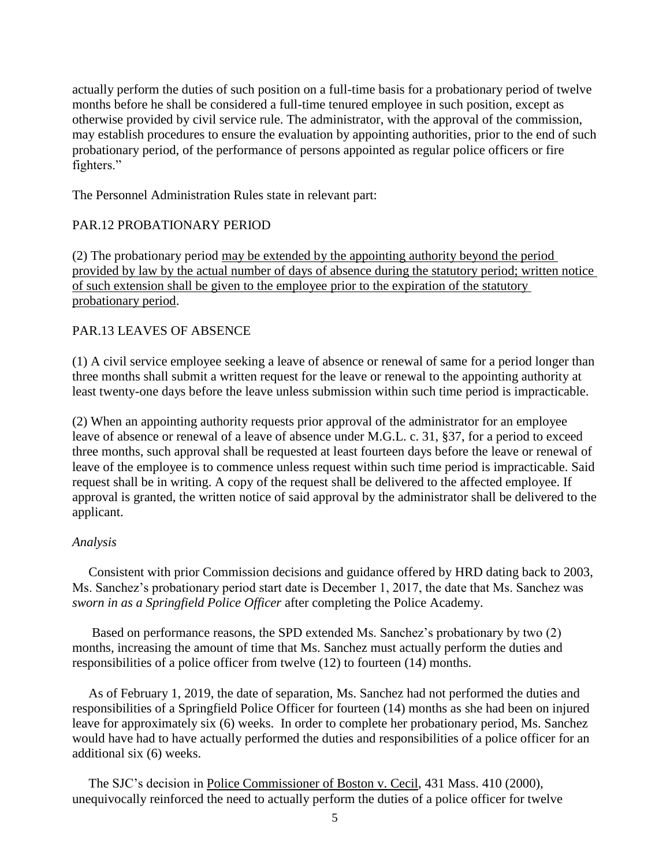actually perform the duties of such position on a full-time basis for a probationary period of twelve months before he shall be considered a full-time tenured employee in such position, except as otherwise provided by civil service rule. The administrator, with the approval of the commission, may establish procedures to ensure the evaluation by appointing authorities, prior to the end of such probationary period, of the performance of persons appointed as regular police officers or fire fighters."

The Personnel Administration Rules state in relevant part:

#### PAR.12 PROBATIONARY PERIOD

(2) The probationary period may be extended by the appointing authority beyond the period provided by law by the actual number of days of absence during the statutory period; written notice of such extension shall be given to the employee prior to the expiration of the statutory probationary period.

### PAR.13 LEAVES OF ABSENCE

(1) A civil service employee seeking a leave of absence or renewal of same for a period longer than three months shall submit a written request for the leave or renewal to the appointing authority at least twenty-one days before the leave unless submission within such time period is impracticable.

(2) When an appointing authority requests prior approval of the administrator for an employee leave of absence or renewal of a leave of absence under M.G.L. c. 31, §37, for a period to exceed three months, such approval shall be requested at least fourteen days before the leave or renewal of leave of the employee is to commence unless request within such time period is impracticable. Said request shall be in writing. A copy of the request shall be delivered to the affected employee. If approval is granted, the written notice of said approval by the administrator shall be delivered to the applicant.

#### *Analysis*

 Consistent with prior Commission decisions and guidance offered by HRD dating back to 2003, Ms. Sanchez's probationary period start date is December 1, 2017, the date that Ms. Sanchez was *sworn in as a Springfield Police Officer* after completing the Police Academy.

 Based on performance reasons, the SPD extended Ms. Sanchez's probationary by two (2) months, increasing the amount of time that Ms. Sanchez must actually perform the duties and responsibilities of a police officer from twelve (12) to fourteen (14) months.

 As of February 1, 2019, the date of separation, Ms. Sanchez had not performed the duties and responsibilities of a Springfield Police Officer for fourteen (14) months as she had been on injured leave for approximately six (6) weeks. In order to complete her probationary period, Ms. Sanchez would have had to have actually performed the duties and responsibilities of a police officer for an additional six (6) weeks.

 The SJC's decision in Police Commissioner of Boston v. Cecil, 431 Mass. 410 (2000), unequivocally reinforced the need to actually perform the duties of a police officer for twelve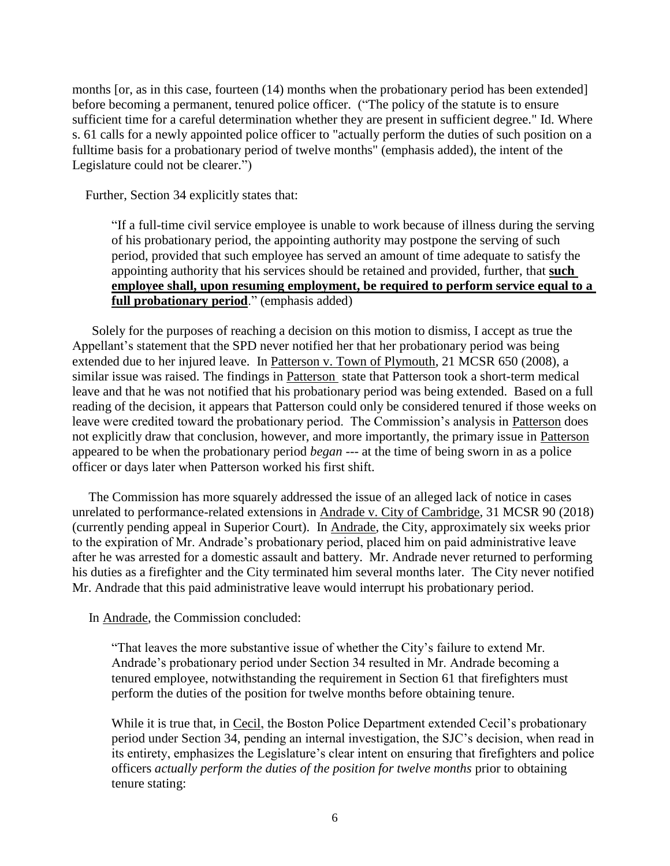months [or, as in this case, fourteen (14) months when the probationary period has been extended] before becoming a permanent, tenured police officer. ("The policy of the statute is to ensure sufficient time for a careful determination whether they are present in sufficient degree." Id. Where s. 61 calls for a newly appointed police officer to "actually perform the duties of such position on a fulltime basis for a probationary period of twelve months" (emphasis added), the intent of the Legislature could not be clearer.")

Further, Section 34 explicitly states that:

"If a full-time civil service employee is unable to work because of illness during the serving of his probationary period, the appointing authority may postpone the serving of such period, provided that such employee has served an amount of time adequate to satisfy the appointing authority that his services should be retained and provided, further, that **such employee shall, upon resuming employment, be required to perform service equal to a full probationary period**." (emphasis added)

 Solely for the purposes of reaching a decision on this motion to dismiss, I accept as true the Appellant's statement that the SPD never notified her that her probationary period was being extended due to her injured leave. In Patterson v. Town of Plymouth, 21 MCSR 650 (2008), a similar issue was raised. The findings in Patterson state that Patterson took a short-term medical leave and that he was not notified that his probationary period was being extended. Based on a full reading of the decision, it appears that Patterson could only be considered tenured if those weeks on leave were credited toward the probationary period. The Commission's analysis in Patterson does not explicitly draw that conclusion, however, and more importantly, the primary issue in Patterson appeared to be when the probationary period *began* --- at the time of being sworn in as a police officer or days later when Patterson worked his first shift.

 The Commission has more squarely addressed the issue of an alleged lack of notice in cases unrelated to performance-related extensions in Andrade v. City of Cambridge, 31 MCSR 90 (2018) (currently pending appeal in Superior Court). In Andrade, the City, approximately six weeks prior to the expiration of Mr. Andrade's probationary period, placed him on paid administrative leave after he was arrested for a domestic assault and battery. Mr. Andrade never returned to performing his duties as a firefighter and the City terminated him several months later. The City never notified Mr. Andrade that this paid administrative leave would interrupt his probationary period.

In Andrade, the Commission concluded:

"That leaves the more substantive issue of whether the City's failure to extend Mr. Andrade's probationary period under Section 34 resulted in Mr. Andrade becoming a tenured employee, notwithstanding the requirement in Section 61 that firefighters must perform the duties of the position for twelve months before obtaining tenure.

While it is true that, in Cecil, the Boston Police Department extended Cecil's probationary period under Section 34, pending an internal investigation, the SJC's decision, when read in its entirety, emphasizes the Legislature's clear intent on ensuring that firefighters and police officers *actually perform the duties of the position for twelve months* prior to obtaining tenure stating: